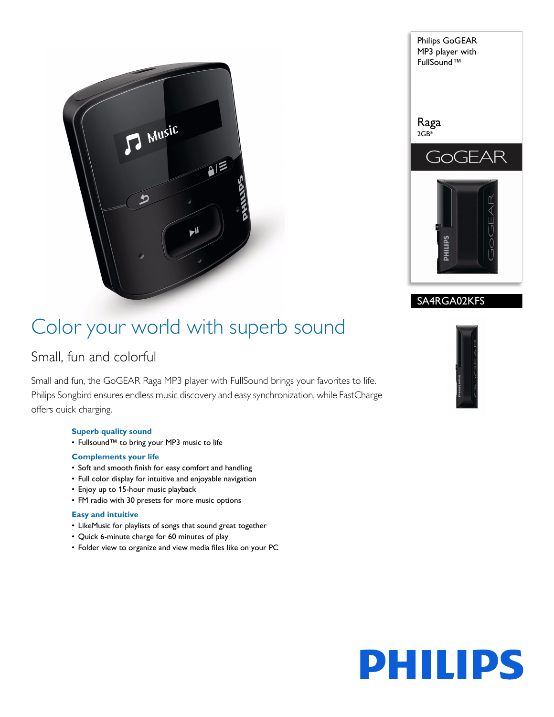



### SA4RGA02KFS

### Color your world with superb sound

### Small, fun and colorful

Small and fun, the GoGEAR Raga MP3 player with FullSound brings your favorites to life. Philips Songbird ensures endless music discovery and easy synchronization, while FastCharge offers quick charging.

#### **Superb quality sound**

• Fullsound™ to bring your MP3 music to life

#### **Complements your life**

- Soft and smooth finish for easy comfort and handling
- Full color display for intuitive and enjoyable navigation
- Enjoy up to 15-hour music playback
- FM radio with 30 presets for more music options

#### **Easy and intuitive**

- LikeMusic for playlists of songs that sound great together
- Quick 6-minute charge for 60 minutes of play
- Folder view to organize and view media files like on your PC



# **PHILIPS**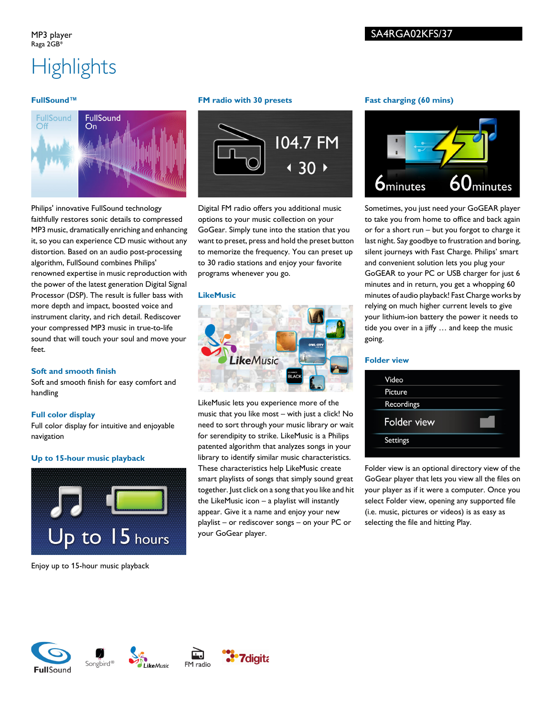# **Highlights**

#### **FullSound™**



Philips' innovative FullSound technology faithfully restores sonic details to compressed MP3 music, dramatically enriching and enhancing it, so you can experience CD music without any distortion. Based on an audio post-processing algorithm, FullSound combines Philips' renowned expertise in music reproduction with the power of the latest generation Digital Signal Processor (DSP). The result is fuller bass with more depth and impact, boosted voice and instrument clarity, and rich detail. Rediscover your compressed MP3 music in true-to-life sound that will touch your soul and move your feet.

#### **Soft and smooth finish**

Soft and smooth finish for easy comfort and handling

#### **Full color display**

Full color display for intuitive and enjoyable navigation

#### **Up to 15-hour music playback**



Enjoy up to 15-hour music playback

#### **FM radio with 30 presets**



Digital FM radio offers you additional music options to your music collection on your GoGear. Simply tune into the station that you want to preset, press and hold the preset button to memorize the frequency. You can preset up to 30 radio stations and enjoy your favorite programs whenever you go.

#### **LikeMusic**



LikeMusic lets you experience more of the music that you like most – with just a click! No need to sort through your music library or wait for serendipity to strike. LikeMusic is a Philips patented algorithm that analyzes songs in your library to identify similar music characteristics. These characteristics help LikeMusic create smart playlists of songs that simply sound great together. Just click on a song that you like and hit the LikeMusic icon – a playlist will instantly appear. Give it a name and enjoy your new playlist – or rediscover songs – on your PC or your GoGear player.

#### **Fast charging (60 mins)**



Sometimes, you just need your GoGEAR player to take you from home to office and back again or for a short run – but you forgot to charge it last night. Say goodbye to frustration and boring, silent journeys with Fast Charge. Philips' smart and convenient solution lets you plug your GoGEAR to your PC or USB charger for just 6 minutes and in return, you get a whopping 60 minutes of audio playback! Fast Charge works by relying on much higher current levels to give your lithium-ion battery the power it needs to tide you over in a jiffy … and keep the music going.

#### **Folder view**



Folder view is an optional directory view of the GoGear player that lets you view all the files on your player as if it were a computer. Once you select Folder view, opening any supported file (i.e. music, pictures or videos) is as easy as selecting the file and hitting Play.